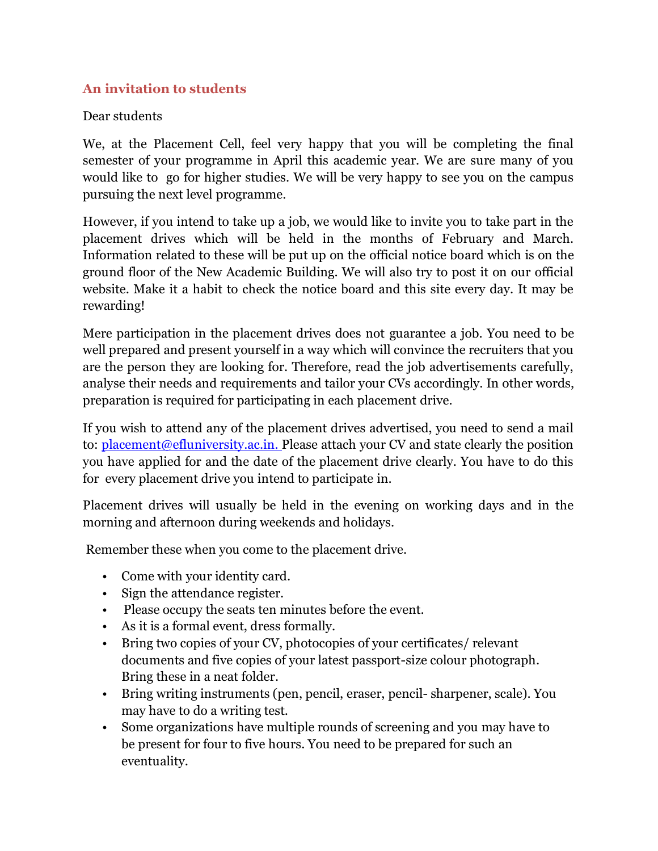## **An invitation to students**

## Dear students

We, at the Placement Cell, feel very happy that you will be completing the final semester of your programme in April this academic year. We are sure many of you would like to go for higher studies. We will be very happy to see you on the campus pursuing the next level programme.

However, if you intend to take up a job, we would like to invite you to take part in the placement drives which will be held in the months of February and March. Information related to these will be put up on the official notice board which is on the ground floor of the New Academic Building. We will also try to post it on our official website. Make it a habit to check the notice board and this site every day. It may be rewarding!

Mere participation in the placement drives does not guarantee a job. You need to be well prepared and present yourself in a way which will convince the recruiters that you are the person they are looking for. Therefore, read the job advertisements carefully, analyse their needs and requirements and tailor your CVs accordingly. In other words, preparation is required for participating in each placement drive.

If you wish to attend any of the placement drives advertised, you need to send a mail to: [placement@efluniversity.ac.in. P](mailto:placement@efluniversity.ac.in)lease attach your CV and state clearly the position you have applied for and the date of the placement drive clearly. You have to do this for every placement drive you intend to participate in.

Placement drives will usually be held in the evening on working days and in the morning and afternoon during weekends and holidays.

Remember these when you come to the placement drive.

- Come with your identity card.
- Sign the attendance register.
- Please occupy the seats ten minutes before the event.
- As it is a formal event, dress formally.
- Bring two copies of your CV, photocopies of your certificates/ relevant documents and five copies of your latest passport-size colour photograph. Bring these in a neat folder.
- Bring writing instruments (pen, pencil, eraser, pencil- sharpener, scale). You may have to do a writing test.
- Some organizations have multiple rounds of screening and you may have to be present for four to five hours. You need to be prepared for such an eventuality.